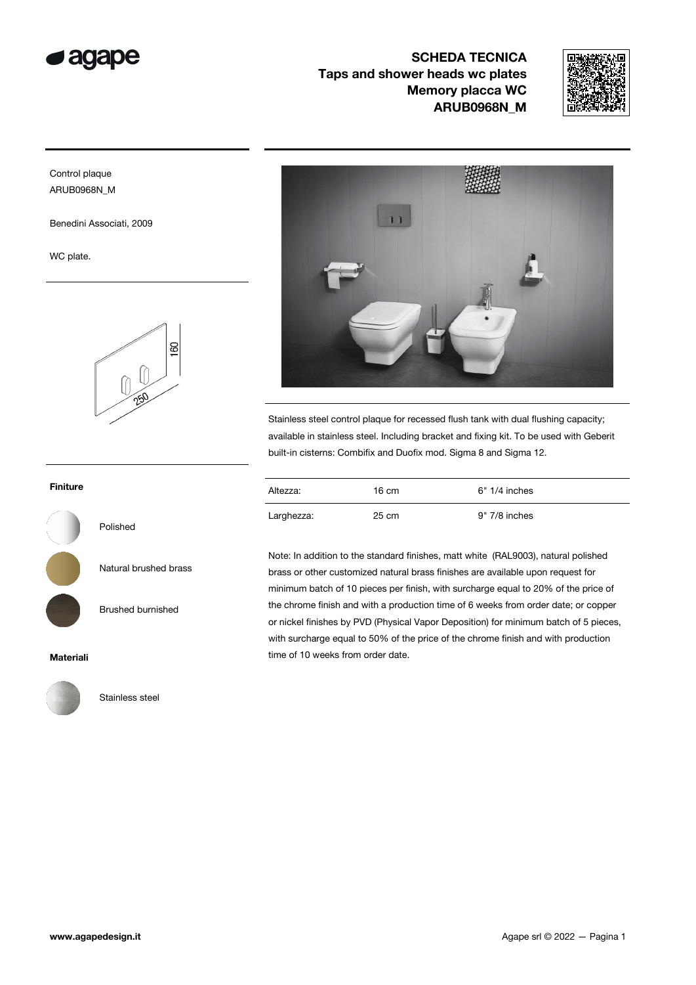

SCHEDA TECNICA Taps and shower heads wc plates Memory placca WC ARUB0968N\_M



## Control plaque ARUB0968N\_M

Benedini Associati, 2009

WC plate.



## Finiture



Polished

Natural brushed brass

Brushed burnished

Materiali



Stainless steel



Stainless steel control plaque for recessed flush tank with dual flushing capacity; available in stainless steel. Including bracket and fixing kit. To be used with Geberit built-in cisterns: Combifix and Duofix mod. Sigma 8 and Sigma 12.

| Altezza:   | 16 cm | $6" 1/4$ inches |
|------------|-------|-----------------|
| Larghezza: | 25 cm | 9" 7/8 inches   |

Note: In addition to the standard finishes, matt white (RAL9003), natural polished brass or other customized natural brass finishes are available upon request for minimum batch of 10 pieces per finish, with surcharge equal to 20% of the price of the chrome finish and with a production time of 6 weeks from order date; or copper or nickel finishes by PVD (Physical Vapor Deposition) for minimum batch of 5 pieces, with surcharge equal to 50% of the price of the chrome finish and with production time of 10 weeks from order date.